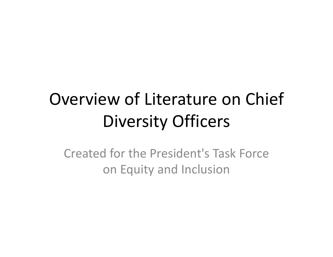# Overview of Literature on Chief Diversity Officers

Created for the President's Task Force on Equity and Inclusion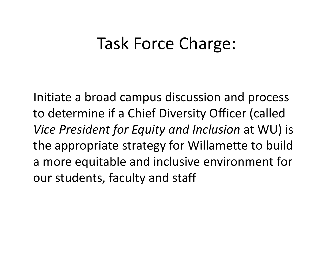## Task Force Charge:

Initiate <sup>a</sup> broad campus discussion and process to determine if <sup>a</sup> Chief Diversity Officer (called *Vice President for Equity and Inclusion* at WU) is the appropriate strategy for Willamette to build a more equitable and inclusive environment for our students, faculty and staff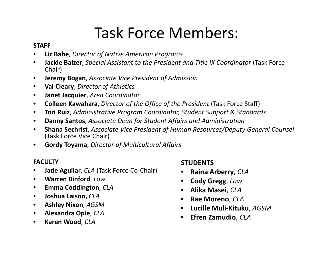### Task Force Members:

#### **STAFF**

- •**Liz Bahe**, *Director of Native American Programs*
- $\bullet$  **Jackie Balzer**, *Special Assistant to the President and Title IX Coordinator* (Task Force Chair)
- $\bullet$ **Jeremy Bogan**, *Associate Vice President of Admission*
- •**Val Cleary**, *Director of Athletics*
- $\bullet$ **Janet Jacquier**, *Area Coordinator*
- $\bullet$ **Colleen Kawahara**, *Director of the Office of the President* (Task Force Staff)
- $\bullet$ **Tori Ruiz**, *Administrative Program Coordinator, Student Support & Standards*
- $\bullet$ **Danny Santos**, *Associate Dean for Student Affairs and Administration*
- $\bullet$  **Shana Sechrist**, *Associate Vice President of Human Resources/Deputy General Counsel* (Task Force Vice Chair)
- $\bullet$ **Gordy Toyama**, *Director of Multicultural Affairs*

#### **FACULTY**

- $\bullet$ **Jade Aguilar**, *CLA* (Task Force Co‐Chair)
- $\bullet$ **Warren Binford**, *Law*
- $\bullet$ **Emma Coddington**, *CLA*
- $\bullet$ **Joshua Laison,** *CLA*
- •**Ashley Nixon**, *AGSM*
- $\bullet$ **Alexandra Opie**, *CLA*
- $\bullet$ **Karen Wood**, *CLA*

#### **STUDENTS**

- •**Raina Arberry**, *CLA*
- **Cody Gregg**, *Law*
- **Alika Masei**, *CLA*
- **Rae Moreno**, *CLA*
- $\bullet$ **Lucille Muli‐Kituku**, *AGSM*
- $\bullet$ **Efren Zamudio**, *CLA*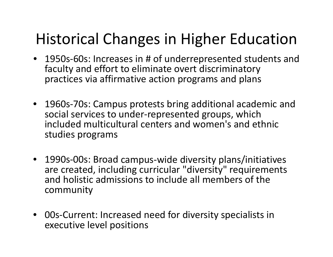### Historical Changes in Higher Education

- 1950s‐60s: Increases in # of underrepresented students and faculty and effort to eliminate overt discriminatory practices via affirmative action programs and plans
- 1960s‐70s: Campus protests bring additional academic and social services to under‐represented groups, which included multicultural centers and women's and ethnic studies programs
- 1990s‐00s: Broad campus‐wide diversity plans/initiatives are created, including curricular "diversity" requirements and holistic admissions to include all members of the community
- 00s‐Current: Increased need for diversity specialists in executive level positions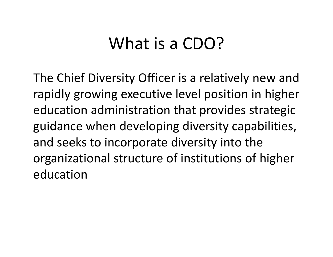## What is a CDO?

The Chief Diversity Officer is <sup>a</sup> relatively new and rapidly growing executive level position in higher education administration that provides strategic guidance when developing diversity capabilities, and seeks to incorporate diversity into the organizational structure of institutions of higher education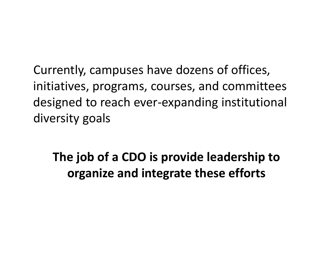Currently, campuses have dozens of offices, initiatives, programs, courses, and committees designed to reach ever‐expanding institutional diversity goals

**The job of <sup>a</sup> CDO is provide leadership to organize and integrate these efforts**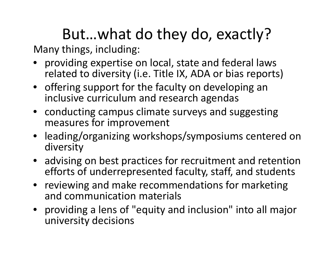# But…what do they do, exactly?

Many things, including:

- providing expertise on local, state and federal laws related to diversity (i.e. Title IX, ADA or bias reports)
- offering support for the faculty on developing an inclusive curriculum and research agendas
- conducting campus climate surveys and suggesting measures for improvement
- leading/organizing workshops/symposiums centered on diversity
- advising on best practices for recruitment and retention efforts of underrepresented faculty, staff, and students
- reviewing and make recommendations for marketing and communication materials
- providing a lens of "equity and inclusion" into all major university decisions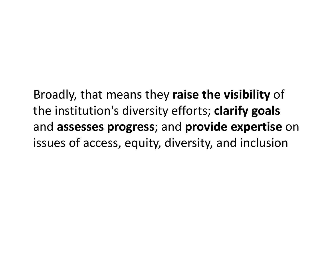Broadly, that means they **raise the visibility** of the institution's diversity efforts; **clarify goals** and **assesses progress**; and **provide expertise** on issues of access, equity, diversity, and inclusion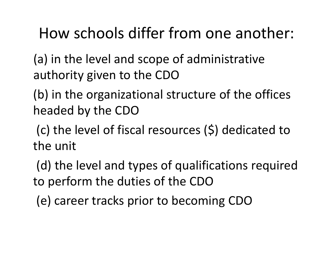### How schools differ from one another:

(a) in the level and scope of administrative authority given to the CDO

(b) in the organizational structure of the offices headed by the CDO

(c) the level of fiscal resources (\$) dedicated to the unit

(d) the level and types of qualifications required to perform the duties of the CDO

(e) career tracks prior to becoming CDO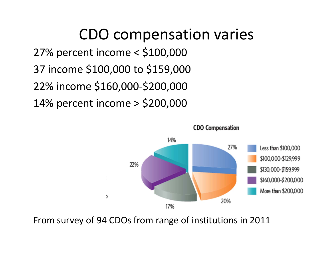CDO compensation varies 27% percent income <sup>&</sup>lt; \$100,000 37 income \$100,000 to \$159,000 22% income \$160,000‐\$200,000 14% percent income <sup>&</sup>gt; \$200,000



From survey of 94 CDOs from range of institutions in 2011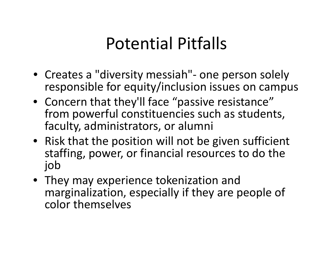# Potential Pitfalls

- Creates a "diversity messiah"‐ one person solely responsible for equity/inclusion issues on campus
- Concern that they'll face "passive resistance" from powerful constituencies such as students, faculty, administrators, or alumni
- Risk that the position will not be given sufficient staffing, power, or financial resources to do the job
- They may experience tokenization and marginalization, especially if they are people of color themselves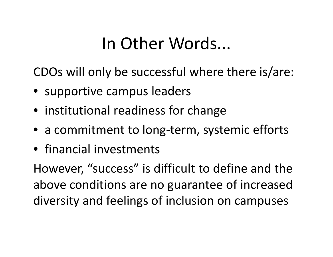# In Other Words...

CDOs will only be successful where there is/are:

- supportive campus leaders
- institutional readiness for change
- a commitment to long‐term, systemic efforts
- financial investments

However, "success" is difficult to define and the above conditions are no guarantee of increased diversity and feelings of inclusion on campuses